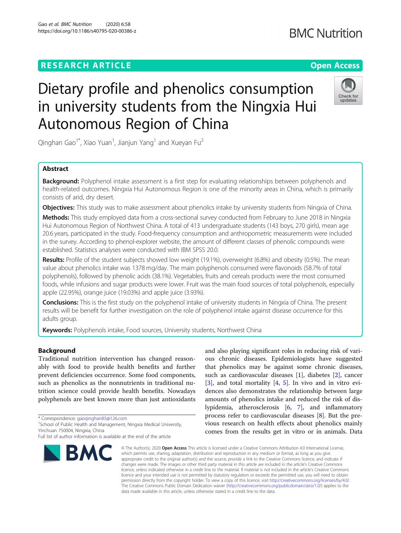## **RESEARCH ARTICLE Example 2014 12:30 The Company of Company Access**

# Dietary profile and phenolics consumption in university students from the Ningxia Hui Autonomous Region of China

Qinghan Gao $^1^\ast$ , Xiao Yuan $^1$ , Jianjun Yang $^1$  and Xueyan Fu $^2$ 

## Abstract

Background: Polyphenol intake assessment is a first step for evaluating relationships between polyphenols and health-related outcomes. Ningxia Hui Autonomous Region is one of the minority areas in China, which is primarily consists of arid, dry desert.

**Objectives:** This study was to make assessment about phenolics intake by university students from Ningxia of China.

Methods: This study employed data from a cross-sectional survey conducted from February to June 2018 in Ningxia Hui Autonomous Region of Northwest China. A total of 413 undergraduate students (143 boys, 270 girls), mean age 20.6 years, participated in the study. Food-frequency consumption and anthropometric measurements were included in the survey. According to phenol-explorer website, the amount of different classes of phenolic compounds were established. Statistics analyses were conducted with IBM SPSS 20.0.

Results: Profile of the student subjects showed low weight (19.1%), overweight (6.8%) and obesity (0.5%). The mean value about phenolics intake was 1378 mg/day. The main polyphenols consumed were flavonoids (58.7% of total polyphenols), followed by phenolic acids (38.1%). Vegetables, fruits and cereals products were the most consumed foods, while infusions and sugar products were lower. Fruit was the main food sources of total polyphenols, especially apple (22.95%), orange juice (19.03%) and apple juice (3.93%).

**Conclusions:** This is the first study on the polyphenol intake of university students in Ningxia of China. The present results will be benefit for further investigation on the role of polyphenol intake against disease occurrence for this adults group.

Keywords: Polyphenols intake, Food sources, University students, Northwest China

## Background

Traditional nutrition intervention has changed reasonably with food to provide health benefits and further prevent deficiencies occurrence. Some food components, such as phenolics as the nonnutrients in traditional nutrition science could provide health benefits. Nowadays polyphenols are best known more than just antioxidants

\* Correspondence: [gaoqinghan85@126.com](mailto:gaoqinghan85@126.com) <sup>1</sup>

<sup>1</sup> School of Public Health and Management, Ningxia Medical University, Yinchuan 750004, Ningxia, China

ous chronic diseases. Epidemiologists have suggested that phenolics may be against some chronic diseases, such as cardiovascular diseases [[1](#page-5-0)], diabetes [\[2](#page-5-0)], cancer [[3\]](#page-5-0), and total mortality [\[4,](#page-5-0) [5](#page-5-0)]. In vivo and in vitro evidences also demonstrates the relationship between large amounts of phenolics intake and reduced the risk of dislypidemia, atherosclerosis [\[6](#page-5-0), [7\]](#page-5-0), and inflammatory process refer to cardiovascular diseases [[8\]](#page-5-0). But the previous research on health effects about phenolics mainly comes from the results get in vitro or in animals. Data

and also playing significant roles in reducing risk of vari-

© The Author(s), 2020 **Open Access** This article is licensed under a Creative Commons Attribution 4.0 International License, which permits use, sharing, adaptation, distribution and reproduction in any medium or format, as long as you give appropriate credit to the original author(s) and the source, provide a link to the Creative Commons licence, and indicate if changes were made. The images or other third party material in this article are included in the article's Creative Commons licence, unless indicated otherwise in a credit line to the material. If material is not included in the article's Creative Commons licence and your intended use is not permitted by statutory regulation or exceeds the permitted use, you will need to obtain permission directly from the copyright holder. To view a copy of this licence, visit [http://creativecommons.org/licenses/by/4.0/.](http://creativecommons.org/licenses/by/4.0/) The Creative Commons Public Domain Dedication waiver [\(http://creativecommons.org/publicdomain/zero/1.0/](http://creativecommons.org/publicdomain/zero/1.0/)) applies to the data made available in this article, unless otherwise stated in a credit line to the data.







Full list of author information is available at the end of the article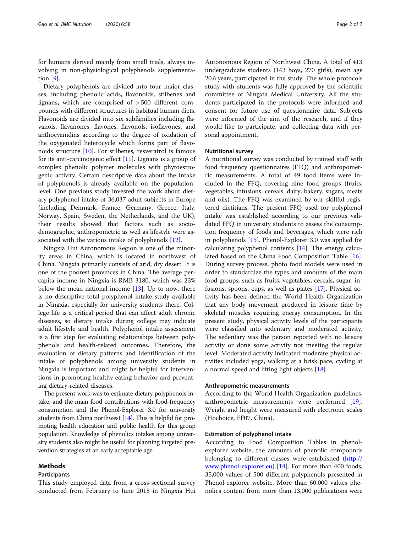for humans derived mainly from small trials, always involving in non-physiological polyphenols supplementation [\[9\]](#page-5-0).

Dietary polyphenols are divided into four major classes, including phenolic acids, flavonoids, stilbenes and lignans, which are comprised of > 500 different compounds with different structures in habitual human diets. Flavonoids are divided into six subfamilies including flavanols, flavanones, flavones, flavonols, isoflavones, and anthocyanidins according to the degree of oxidation of the oxygenated heterocycle which forms part of flavonoids structure [\[10](#page-5-0)]. For stilbenes, resveratrol is famous for its anti-carcinogenic effect  $[11]$  $[11]$ . Lignans is a group of complex phenolic polymer molecules with phytoestrogenic activity. Certain descriptive data about the intake of polyphenols is already available on the populationlevel. One previous study invested the work about dietary polyphenol intake of 36,037 adult subjects in Europe (including Denmark, France, Germany, Greece, Italy, Norway, Spain, Sweden, the Netherlands, and the UK), their results showed that factors such as sociodemographic, anthropometric as well as lifestyle were associated with the various intake of polyphenols [[12](#page-5-0)].

Ningxia Hui Autonomous Region is one of the minority areas in China, which is located in northwest of China. Ningxia primarily consists of arid, dry desert. It is one of the poorest provinces in China. The average percapita income in Ningxia is RMB 3180, which was 23% below the mean national income  $[13]$ . Up to now, there is no descriptive total polyphenol intake study available in Ningxia, especially for university students there. College life is a critical period that can affect adult chronic diseases, so dietary intake during college may indicate adult lifestyle and health. Polyphenol intake assessment is a first step for evaluating relationships between polyphenols and health-related outcomes. Therefore, the evaluation of dietary patterns and identification of the intake of polyphenols among university students in Ningxia is important and might be helpful for interventions in promoting healthy eating behavior and preventing dietary-related diseases.

The present work was to estimate dietary polyphenols intake, and the main food contributions with food-frequency consumption and the Phenol-Explorer 3.0 for university students from China northwest [[14](#page-5-0)]. This is helpful for promoting health education and public health for this group population. Knowledge of phenolics intakes among university students also might be useful for planning targeted prevention strategies at an early acceptable age.

## Methods

### Participants

This study employed data from a cross-sectional survey conducted from February to June 2018 in Ningxia Hui

Autonomous Region of Northwest China. A total of 413 undergraduate students (143 boys, 270 girls), mean age 20.6 years, participated in the study. The whole protocols study with students was fully approved by the scientific committee of Ningxia Medical University. All the students participated in the protocols were informed and consent for future use of questionnaire data. Subjects were informed of the aim of the research, and if they would like to participate, and collecting data with personal appointment.

#### Nutritional survey

A nutritional survey was conducted by trained staff with food frequency questionnaires (FFQ) and anthropometric measurements. A total of 49 food items were included in the FFQ, covering nine food groups (fruits, vegetables, infusions, cereals, dairy, bakery, sugars, meats and oils). The FFQ was examined by our skillful registered dietitians. The present FFQ used for polyphenol intake was established according to our previous validated FFQ in university students to assess the consumption frequency of foods and beverages, which were rich in polyphenols [[15](#page-5-0)]. Phenol-Explorer 3.0 was applied for calculating polyphenol contents  $[14]$  $[14]$ . The energy calculated based on the China Food Composition Table [\[16](#page-5-0)]. During survey process, photo food models were used in order to standardize the types and amounts of the main food groups, such as fruits, vegetables, cereals, sugar, infusions, spoons, cups, as well as plates [\[17\]](#page-5-0). Physical activity has been defined the World Health Organization that any body movement produced in leisure time by skeletal muscles requiring energy consumption. In the present study, physical activity levels of the participants were classified into sedentary and moderated activity. The sedentary was the person reported with no leisure activity or done some activity not meeting the regular level. Moderated activity indicated moderate physical activities included yoga, walking at a brisk pace, cycling at a normal speed and lifting light objects [[18\]](#page-5-0).

#### Anthropometric measurements

According to the World Health Organization guidelines, anthropometric measurements were performed [\[19](#page-5-0)]. Weight and height were measured with electronic scales (Hochoice, EF07, China).

#### Estimation of polyphenol intake

According to Food Composition Tables in phenolexplorer website, the amounts of phenolic compounds belonging to different classes were established [\(http://](http://www.phenol-explorer.eu) [www.phenol-explorer.eu\)](http://www.phenol-explorer.eu) [\[14](#page-5-0)]. For more than 400 foods, 35,000 values of 500 different polyphenols presented in Phenol-explorer website. More than 60,000 values phenolics content from more than 13,000 publications were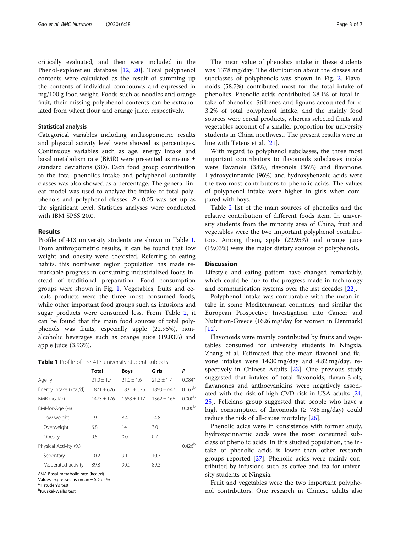critically evaluated, and then were included in the Phenol-explorer.eu database [[12,](#page-5-0) [20\]](#page-5-0). Total polyphenol contents were calculated as the result of summing up the contents of individual compounds and expressed in mg/100 g food weight. Foods such as noodles and orange fruit, their missing polyphenol contents can be extrapolated from wheat flour and orange juice, respectively.

#### Statistical analysis

Categorical variables including anthropometric results and physical activity level were showed as percentages. Continuous variables such as age, energy intake and basal metabolism rate (BMR) were presented as means ± standard deviations (SD). Each food group contribution to the total phenolics intake and polyphenol subfamily classes was also showed as a percentage. The general linear model was used to analyze the intake of total polyphenols and polyphenol classes.  $P < 0.05$  was set up as the significant level. Statistics analyses were conducted with IBM SPSS 20.0.

## Results

Profile of 413 university students are shown in Table 1. From anthropometric results, it can be found that low weight and obesity were coexisted. Referring to eating habits, this northwest region population has made remarkable progress in consuming industrialized foods instead of traditional preparation. Food consumption groups were shown in Fig. [1.](#page-3-0) Vegetables, fruits and cereals products were the three most consumed foods, while other important food groups such as infusions and sugar products were consumed less. From Table [2,](#page-3-0) it can be found that the main food sources of total polyphenols was fruits, especially apple (22.95%), nonalcoholic beverages such as orange juice (19.03%) and apple juice (3.93%).

| Table 1 Profile of the 413 university student subjects |  |  |  |
|--------------------------------------------------------|--|--|--|
|--------------------------------------------------------|--|--|--|

|                        | Total        | <b>Boys</b>  | Girls        | P                    |
|------------------------|--------------|--------------|--------------|----------------------|
| Age (y)                | $21.0 + 1.7$ | $21.0 + 1.6$ | $21.3 + 1.7$ | $0.084$ <sup>a</sup> |
| Energy intake (kcal/d) | $1871 + 626$ | $1831 + 576$ | $1893 + 647$ | $0.163^{b}$          |
| BMR (kcal/d)           | $1473 + 176$ | $1683 + 117$ | $1362 + 166$ | 0.000 <sup>b</sup>   |
| BMI-for-Age (%)        |              |              |              | 0.000 <sup>b</sup>   |
| Low weight             | 19.1         | 8.4          | 24.8         |                      |
| Overweight             | 6.8          | 14           | 3.0          |                      |
| Obesity                | 0.5          | 0.0          | 0.7          |                      |
| Physical Activity (%)  |              |              |              | 0.426 <sup>b</sup>   |
| Sedentary              | 10.2         | 9.1          | 10.7         |                      |
| Moderated activity     | 89.8         | 90.9         | 89.3         |                      |

BMR Basal metabolic rate (kcal/d)

Values expresses as mean ± SD or %

<sup>a</sup>T studen's test<br><sup>b</sup>Kruskal-Wallis

Kruskal-Wallis test

The mean value of phenolics intake in these students was 1378 mg/day. The distribution about the classes and subclasses of polyphenols was shown in Fig. [2](#page-4-0). Flavonoids (58.7%) contributed most for the total intake of phenolics. Phenolic acids contributed 38.1% of total intake of phenolics. Stilbenes and lignans accounted for < 3.2% of total polyphenol intake, and the mainly food sources were cereal products, whereas selected fruits and vegetables account of a smaller proportion for university students in China northwest. The present results were in line with Tetens et al. [[21\]](#page-5-0).

With regard to polyphenol subclasses, the three most important contributors to flavonoids subclasses intake were flavanols (38%), flavonols (36%) and flavanone. Hydroxycinnamic (96%) and hydroxybenzoic acids were the two most contributors to phenolic acids. The values of polyphenol intake were higher in girls when compared with boys.

Table [2](#page-3-0) list of the main sources of phenolics and the relative contribution of different foods item. In university students from the minority area of China, fruit and vegetables were the two important polyphenol contributors. Among them, apple (22.95%) and orange juice (19.03%) were the major dietary sources of polyphenols.

## **Discussion**

Lifestyle and eating pattern have changed remarkably, which could be due to the progress made in technology and communication systems over the last decades [[22](#page-5-0)].

Polyphenol intake was comparable with the mean intake in some Mediterranean countries, and similar the European Prospective Investigation into Cancer and Nutrition-Greece (1626 mg/day for women in Denmark) [[12\]](#page-5-0).

Flavonoids were mainly contributed by fruits and vegetables consumed for university students in Ningxia. Zhang et al. Estimated that the mean flavonol and flavone intakes were 14.30 mg/day and 4.82 mg/day, respectively in Chinese Adults [[23](#page-5-0)]. One previous study suggested that intakes of total flavonoids, flavan-3-ols, flavanones and anthocyanidins were negatively associated with the risk of high CVD risk in USA adults [[24](#page-5-0), [25\]](#page-5-0). Feliciano group suggested that people who have a high consumption of flavonoids ( $\geq 788 \text{ mg/day}$ ) could reduce the risk of all-cause mortality [\[26](#page-5-0)].

Phenolic acids were in consistence with former study, hydroxycinnamic acids were the most consumed subclass of phenolic acids. In this studied population, the intake of phenolic acids is lower than other research groups reported [[27](#page-5-0)]. Phenolic acids were mainly contributed by infusions such as coffee and tea for university students of Ningxia.

Fruit and vegetables were the two important polyphenol contributors. One research in Chinese adults also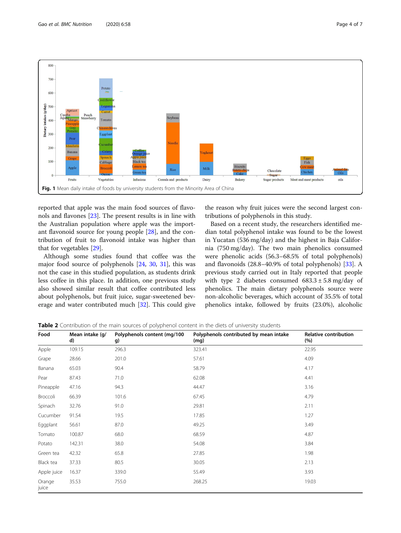<span id="page-3-0"></span>

reported that apple was the main food sources of flavonols and flavones [[23\]](#page-5-0). The present results is in line with the Australian population where apple was the important flavonoid source for young people [[28](#page-5-0)], and the contribution of fruit to flavonoid intake was higher than that for vegetables [[29\]](#page-5-0).

Although some studies found that coffee was the major food source of polyphenols [[24](#page-5-0), [30](#page-6-0), [31](#page-6-0)], this was not the case in this studied population, as students drink less coffee in this place. In addition, one previous study also showed similar result that coffee contributed less about polyphenols, but fruit juice, sugar-sweetened beverage and water contributed much [[32](#page-6-0)]. This could give

the reason why fruit juices were the second largest contributions of polyphenols in this study.

Based on a recent study, the researchers identified median total polyphenol intake was found to be the lowest in Yucatan (536 mg/day) and the highest in Baja California (750 mg/day). The two main phenolics consumed were phenolic acids (56.3–68.5% of total polyphenols) and flavonoids (28.8–40.9% of total polyphenols) [\[33\]](#page-6-0). A previous study carried out in Italy reported that people with type 2 diabetes consumed  $683.3 \pm 5.8$  mg/day of phenolics. The main dietary polyphenols source were non-alcoholic beverages, which account of 35.5% of total phenolics intake, followed by fruits (23.0%), alcoholic

| Food            | Mean intake (g/<br>d) | Polyphenols content (mg/100<br>g) | Polyphenols contributed by mean intake<br>(mg) | <b>Relative contribution</b><br>(%) |
|-----------------|-----------------------|-----------------------------------|------------------------------------------------|-------------------------------------|
| Apple           | 109.15                | 296.3                             | 323.41                                         | 22.95                               |
| Grape           | 28.66                 | 201.0                             | 57.61                                          | 4.09                                |
| Banana          | 65.03                 | 90.4                              | 58.79                                          | 4.17                                |
| Pear            | 87.43                 | 71.0                              | 62.08                                          | 4.41                                |
| Pineapple       | 47.16                 | 94.3                              | 44.47                                          | 3.16                                |
| Broccoli        | 66.39                 | 101.6                             | 67.45                                          | 4.79                                |
| Spinach         | 32.76                 | 91.0                              | 29.81                                          | 2.11                                |
| Cucumber        | 91.54                 | 19.5                              | 17.85                                          | 1.27                                |
| Eggplant        | 56.61                 | 87.0                              | 49.25                                          | 3.49                                |
| Tomato          | 100.87                | 68.0                              | 68.59                                          | 4.87                                |
| Potato          | 142.31                | 38.0                              | 54.08                                          | 3.84                                |
| Green tea       | 42.32                 | 65.8                              | 27.85                                          | 1.98                                |
| Black tea       | 37.33                 | 80.5                              | 30.05                                          | 2.13                                |
| Apple juice     | 16.37                 | 339.0                             | 55.49                                          | 3.93                                |
| Orange<br>juice | 35.53                 | 755.0                             | 268.25                                         | 19.03                               |

Table 2 Contribution of the main sources of polyphenol content in the diets of university students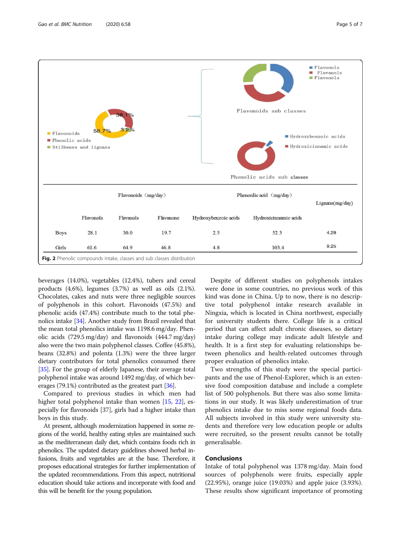<span id="page-4-0"></span>

beverages (14.0%), vegetables (12.4%), tubers and cereal products (4.6%), legumes (3.7%) as well as oils (2.1%). Chocolates, cakes and nuts were three negligible sources of polyphenols in this cohort. Flavonoids (47.5%) and phenolic acids (47.4%) contribute much to the total phenolics intake [\[34\]](#page-6-0). Another study from Brazil revealed that the mean total phenolics intake was 1198.6 mg/day. Phenolic acids (729.5 mg/day) and flavonoids (444.7 mg/day) also were the two main polyphenol classes. Coffee (45.8%), beans (32.8%) and polenta (1.3%) were the three larger dietary contributors for total phenolics consumed there [[35](#page-6-0)]. For the group of elderly Japanese, their average total polyphenol intake was around 1492 mg/day, of which beverages (79.1%) contributed as the greatest part [[36](#page-6-0)].

Compared to previous studies in which men had higher total polyphenol intake than women [\[15](#page-5-0), [22\]](#page-5-0), especially for flavonoids [37], girls had a higher intake than boys in this study.

At present, although modernization happened in some regions of the world, healthy eating styles are maintained such as the mediterranean daily diet, which contains foods rich in phenolics. The updated dietary guidelines showed herbal infusions, fruits and vegetables are at the base. Therefore, it proposes educational strategies for further implementation of the updated recommendations. From this aspect, nutritional education should take actions and incorporate with food and this will be benefit for the young population.

Despite of different studies on polyphenols intakes were done in some countries, no previous work of this kind was done in China. Up to now, there is no descriptive total polyphenol intake research available in Ningxia, which is located in China northwest, especially for university students there. College life is a critical period that can affect adult chronic diseases, so dietary intake during college may indicate adult lifestyle and health. It is a first step for evaluating relationships between phenolics and health-related outcomes through proper evaluation of phenolics intake.

Two strengths of this study were the special participants and the use of Phenol-Explorer, which is an extensive food composition database and include a complete list of 500 polyphenols. But there was also some limitations in our study. It was likely underestimation of true phenolics intake due to miss some regional foods data. All subjects involved in this study were university students and therefore very low education people or adults were recruited, so the present results cannot be totally generalisable.

## **Conclusions**

Intake of total polyphenol was 1378 mg/day. Main food sources of polyphenols were fruits, especially apple (22.95%), orange juice (19.03%) and apple juice (3.93%). These results show significant importance of promoting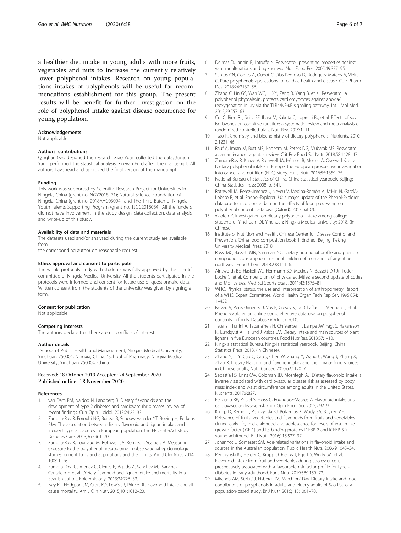<span id="page-5-0"></span>a healthier diet intake in young adults with more fruits, vegetables and nuts to increase the currently relatively lower polyphenol intakes. Research on young populations intakes of polyphenols will be useful for recommendations establishment for this group. The present results will be benefit for further investigation on the role of polyphenol intake against disease occurrence for young population.

#### Acknowledgements

Not applicable.

#### Authors' contributions

Qinghan Gao designed the research; Xiao Yuan collected the data; Jianjun Yang performed the statistical analysis; Xueyan Fu drafted the manuscript. All authors have read and approved the final version of the manuscript.

#### Funding

This work was supported by Scientific Research Project for Universities in Ningxia, China (grant no. NGY2018–71); Natural Science Foundation of Ningxia, China (grant no. 2018AAC03094); and The Third Batch of Ningxia Youth Talents Supporting Program (grant no. TJGC2018084). All the funders did not have involvement in the study design, data collection, data analysis and write-up of this study.

#### Availability of data and materials

The datasets used and/or analysed during the current study are available from.

the corresponding author on reasonable request.

#### Ethics approval and consent to participate

The whole protocols study with students was fully approved by the scientific committee of Ningxia Medical University. All the students participated in the protocols were informed and consent for future use of questionnaire data. Written consent from the students of the university was given by signing a form.

#### Consent for publication

Not applicable.

#### Competing interests

The authors declare that there are no conflicts of interest.

#### Author details

<sup>1</sup>School of Public Health and Management, Ningxia Medical University, Yinchuan 750004, Ningxia, China. <sup>2</sup>School of Pharmacy, Ningxia Medical University, Yinchuan 750004, China.

#### Received: 18 October 2019 Accepted: 24 September 2020 Published online: 18 November 2020

#### References

- 1. van Dam RM, Naidoo N, Landberg R. Dietary flavonoids and the development of type 2 diabetes and cardiovascular diseases: review of recent findings. Curr Opin Lipidol. 2013;24:25–33.
- 2. Zamora-Ros R, Forouhi NG, Buijsse B, Schouw van der YT, Boeing H, Feskens EJM. The association between dietary flavonoid and lignan intakes and incident type 2 diabetes in European population: the EPIC-InterAct study. Diabetes Care. 2013;36:3961–70.
- 3. Zamora-Ros R, Touillaud M, Rothwell JA, Romieu I, Scalbert A. Measuring exposure to the polyphenol metabolome in observational epidemiologic studies, current tools and applications and their limits. Am J Clin Nutr. 2014; 100:11–26.
- Zamora-Ros R, Jimenez C, Cleries R, Agudo A, Sanchez MJ, Sanchez-Cantalejo E, et al. Dietary flavonoid and lignan intake and mortality in a Spanish cohort. Epidemiology. 2013;24:726–33.
- Ivey KL, Hodgson JM, Croft KD, Lewis JR, Prince RL. Flavonoid intake and allcause mortality. Am J Clin Nutr. 2015;101:1012–20.
- 6. Delmas D, Jannin B, Latruffe N. Resveratrol: preventing properties against vascular alterations and ageing. Mol Nutr Food Res. 2005;49:377–95.
- 7. Santos CN, Gomes A, Oudot C, Dias-Pedroso D, Rodriguez-Mateos A, Vieira C. Pure polyphenols applications for cardiac health and disease. Curr Pharm Des. 2018;24:2137–56.
- 8. Zhang C, Lin GS, Wan WG, Li XY, Zeng B, Yang B, et al. Resveratrol: a polyphenol phytoalexin, protects cardiomyocytes against anoxia/ reoxygenation injury via the TLR4/NF-κB signaling pathway. Int J Mol Med. 2012;29:557–63.
- 9. Cui C, Birru RL, Snitz BE, Ihara M, Kakuta C, Lopresti BJ, et al. Effects of soy isoflavones on cognitive function: a systematic review and meta-analysis of randomized controlled trials. Nutr Rev. 2019:1–11.
- 10. Tsao R. Chemistry and biochemistry of dietary polyphenols. Nutrients. 2010; 2:1231–46.
- 11. Rauf A, Imran M, Butt MS, Nadeem M, Peters DG, Mubarak MS. Resveratrol as an anti-cancer agent: a review. Crit Rev Food Sci Nutr. 2018;58:1428–47.
- 12. Zamora-Ros R, Knaze V, Rothwell JA, Hémon B, Moskal A, Overvad K, et al. Dietary polyphenol intake in Europe: the European prospective investigation into cancer and nutrition (EPIC) study. Eur J Nutr. 2016;55:1359–75.
- 13. National Bureau of Statistics of China. China statistical yearbook. Beijing: China Statistics Press; 2008. p. 341.
- 14. Rothwell JA, Perez-Jimenez J, Neveu V, Medina-Remón A, M'Hiri N, GarcíA-Lobato P, et al. Phenol-Explorer 3.0: a major update of the Phenol-Explorer database to incorporate data on the effects of food processing on polyphenol content. Database (Oxford). 2013:bat070.
- 15. xiaofen Z. Investigation on dietary polyphenol intake among college students of Yinchuan [D]. Yinchuan: Ningxia Medical University; 2018. (In Chinese).
- 16. Institute of Nutrition and Health, Chinese Center for Disease Control and Prevention. China food composition book 1. 6nd ed. Beijing: Peking University Medical Press; 2018.
- 17. Rossi MC, Bassett MN, Sammán NC. Dietary nutritional profile and phenolic compounds consumption in school children of highlands of argentine northwest. Food Chem. 2018;238:111–6.
- 18. Ainsworth BE, Haskell WL, Herrmann SD, Meckes N, Bassett DR Jr, Tudor-Locke C, et al. Compendium of physical activities: a second update of codes and MET values. Med Sci Sports Exerc. 2011;43:1575–81.
- 19. WHO. Physical status, the use and interpretation of anthropometry. Report of a WHO Expert Committee. World Health Organ Tech Rep Ser. 1995;854: 1–452.
- 20. Neveu V, Perez-Jimenez J, Vos F, Crespy V, du Chaffaut L, Mennen L, et al. Phenol-explorer: an online comprehensive database on polyphenol contents in foods. Database (Oxford). 2010.
- 21. Tetens I, Turrini A, Tapanainen H, Christensen T, Lampe JW, Fagt S, Hakansson N, Lundqvist A, Hallund J, Valsta LM. Dietary intake and main sources of plant lignans in five European countries. Food Nutr Res. 2013;57:1–10.
- 22. Ningxia statistical Bureau. Ningxia statistical yearbook. Beijing: China Statistics Press; 2013. (in Chinese).
- 23. Zhang Y, Li Y, Cao C, Cao J, Chen W, Zhang Y, Wang C, Wang J, Zhang X, Zhao X. Dietary Flavonol and flavone intakes and their major food sources in Chinese adults, Nutr. Cancer. 2010;62:1120–7.
- 24. Sebastia RS, Enns CW, Goldman JD, Moshfegh AJ. Dietary flavonoid intake is inversely associated with cardiovascular disease risk as assessed by body mass index and waist circumference among adults in the United States. Nutrients. 2017;9:827.
- 25. Feliciano RP, Pritzel S, Heiss C, Rodriguez-Mateos A. Flavonoid intake and cardiovascular disease risk. Curr Opin Food Sci. 2015;2:92–9.
- 26. Krupp D, Remer T, Penczynski KJ, Bolzenius K, Wudy SA, Buyken AE. Relevance of fruits, vegetables and flavonoids from fruits and vegetables during early life, mid-childhood and adolescence for levels of insulin-like growth factor (IGF-1) and its binding proteins IGFBP-2 and IGFBP-3 in young adulthood. Br J Nutr. 2016;115:527–37.
- 27. Johannot L, Somerset SM. Age-related variations in flavonoid intake and sources in the Australian population. Public Health Nutr. 2006;9:1045–54.
- 28. Penczynski KJ, Herder C, Krupp D, Rienks J, Egert S, Wudy SA, et al. Flavonoid intake from fruit and vegetables during adolescence is prospectively associated with a favourable risk factor profile for type 2 diabetes in early adulthood. Eur J Nutr. 2019;58:1159–72.
- 29. Miranda AM, Steluti J, Fisberg RM, Marchioni DM. Dietary intake and food contributors of polyphenols in adults and elderly adults of Sao Paulo: a population-based study. Br J Nutr. 2016;115:1061–70.